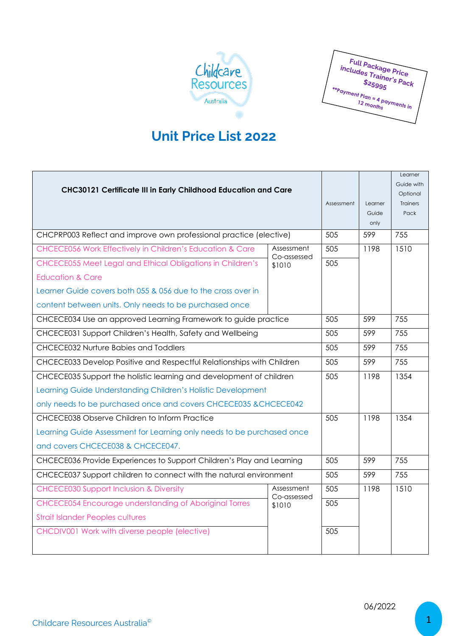

**Full Package Price** Full Package Price<br>s Trainer's Pack<br>\$25995 \$25995  $\frac{\frac{225995}{12} \cdot \frac{3 \text{ Pack}}{60}}{12 \text{ months}}$ 

## **Unit Price List 2022**

| CHC30121 Certificate III in Early Childhood Education and Care         |                                     |            |               | Learner         |
|------------------------------------------------------------------------|-------------------------------------|------------|---------------|-----------------|
|                                                                        |                                     |            |               | Guide with      |
|                                                                        |                                     |            |               | Optional        |
|                                                                        |                                     | Assessment | Learner       | <b>Trainers</b> |
|                                                                        |                                     |            | Guide<br>only | Pack            |
| CHCPRP003 Reflect and improve own professional practice (elective)     |                                     | 505        | 599           | 755             |
|                                                                        |                                     |            |               |                 |
| CHCECE056 Work Effectively in Children's Education & Care              | Assessment<br>Co-assessed<br>\$1010 | 505        | 1198          | 1510            |
| CHCECE055 Meet Legal and Ethical Obligations in Children's             |                                     | 505        |               |                 |
| <b>Education &amp; Care</b>                                            |                                     |            |               |                 |
| Learner Guide covers both 055 & 056 due to the cross over in           |                                     |            |               |                 |
| content between units. Only needs to be purchased once                 |                                     |            |               |                 |
| CHCECE034 Use an approved Learning Framework to guide practice         |                                     | 505        | 599           | 755             |
| CHCECE031 Support Children's Health, Safety and Wellbeing              |                                     | 505        | 599           | 755             |
| CHCECE032 Nurture Babies and Toddlers                                  |                                     | 505        | 599           | 755             |
| CHCECE033 Develop Positive and Respectful Relationships with Children  |                                     | 505        | 599           | 755             |
| CHCECE035 Support the holistic learning and development of children    |                                     | 505        | 1198          | 1354            |
| Learning Guide Understanding Children's Holistic Development           |                                     |            |               |                 |
| only needs to be purchased once and covers CHCECE035 & CHCECE042       |                                     |            |               |                 |
| CHCECE038 Observe Children to Inform Practice                          |                                     | 505        | 1198          | 1354            |
| Learning Guide Assessment for Learning only needs to be purchased once |                                     |            |               |                 |
| and covers CHCECE038 & CHCECE047.                                      |                                     |            |               |                 |
| CHCECE036 Provide Experiences to Support Children's Play and Learning  |                                     | 505        | 599           | 755             |
| CHCECE037 Support children to connect with the natural environment     |                                     | 505        | 599           | 755             |
| <b>CHCECE030 Support Inclusion &amp; Diversity</b>                     | Assessment<br>Co-assessed<br>\$1010 | 505        | 1198          | 1510            |
| <b>CHCECE054 Encourage understanding of Aboriginal Torres</b>          |                                     | 505        |               |                 |
| <b>Strait Islander Peoples cultures</b>                                |                                     |            |               |                 |
| CHCDIV001 Work with diverse people (elective)                          |                                     | 505        |               |                 |
|                                                                        |                                     |            |               |                 |